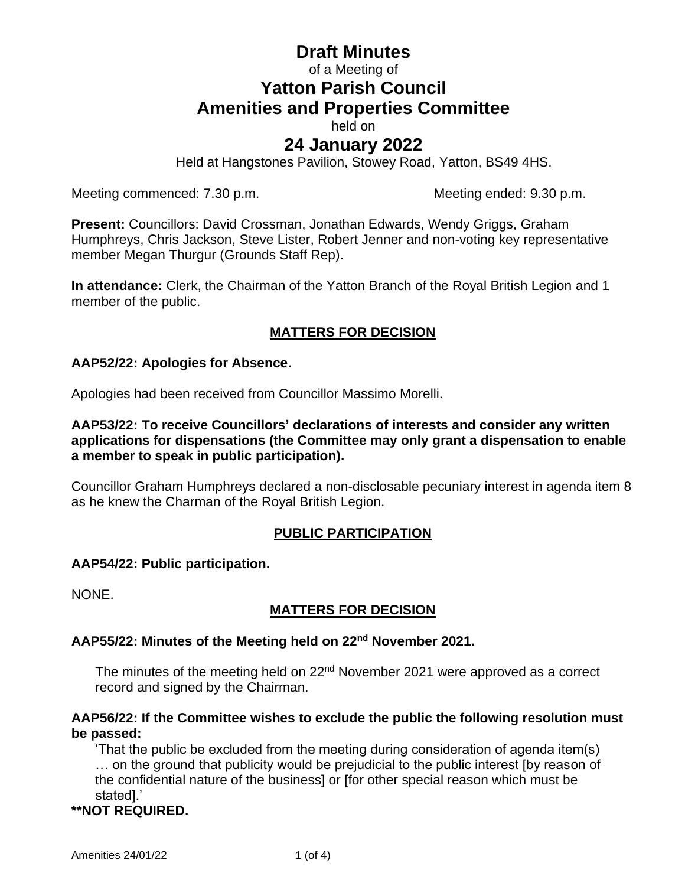# **Draft Minutes** of a Meeting of **Yatton Parish Council Amenities and Properties Committee**

held on

# **24 January 2022**

Held at Hangstones Pavilion, Stowey Road, Yatton, BS49 4HS.

Meeting commenced: 7.30 p.m. Meeting ended: 9.30 p.m.

**Present:** Councillors: David Crossman, Jonathan Edwards, Wendy Griggs, Graham Humphreys, Chris Jackson, Steve Lister, Robert Jenner and non-voting key representative member Megan Thurgur (Grounds Staff Rep).

**In attendance:** Clerk, the Chairman of the Yatton Branch of the Royal British Legion and 1 member of the public.

# **MATTERS FOR DECISION**

# **AAP52/22: Apologies for Absence.**

Apologies had been received from Councillor Massimo Morelli.

**AAP53/22: To receive Councillors' declarations of interests and consider any written applications for dispensations (the Committee may only grant a dispensation to enable a member to speak in public participation).**

Councillor Graham Humphreys declared a non-disclosable pecuniary interest in agenda item 8 as he knew the Charman of the Royal British Legion.

# **PUBLIC PARTICIPATION**

### **AAP54/22: Public participation.**

NONE.

# **MATTERS FOR DECISION**

# **AAP55/22: Minutes of the Meeting held on 22 nd November 2021.**

The minutes of the meeting held on 22<sup>nd</sup> November 2021 were approved as a correct record and signed by the Chairman.

#### **AAP56/22: If the Committee wishes to exclude the public the following resolution must be passed:**

'That the public be excluded from the meeting during consideration of agenda item(s) … on the ground that publicity would be prejudicial to the public interest [by reason of the confidential nature of the business] or [for other special reason which must be stated].'

# **\*\*NOT REQUIRED.**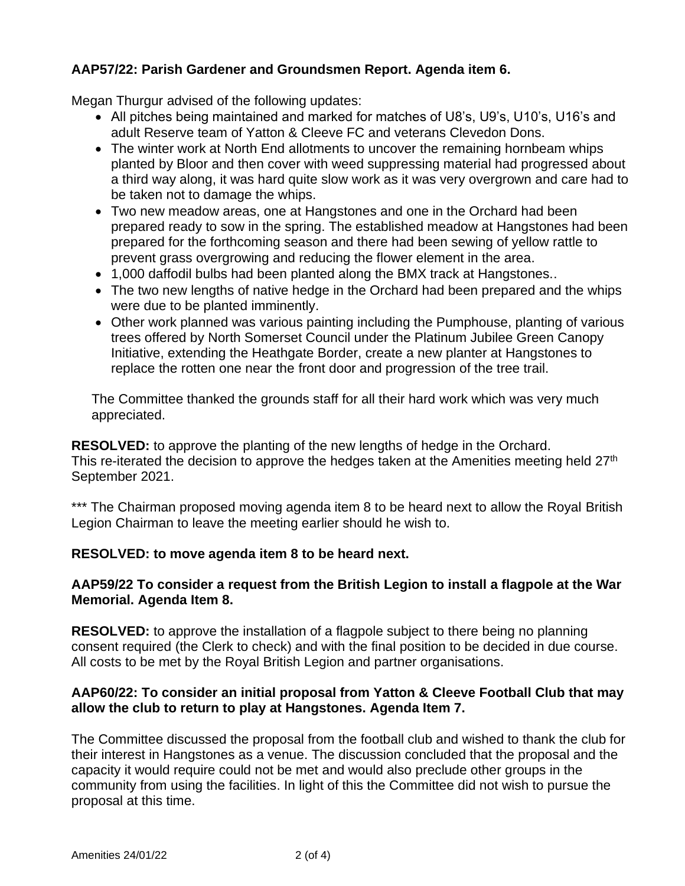# **AAP57/22: Parish Gardener and Groundsmen Report. Agenda item 6.**

Megan Thurgur advised of the following updates:

- All pitches being maintained and marked for matches of U8's, U9's, U10's, U16's and adult Reserve team of Yatton & Cleeve FC and veterans Clevedon Dons.
- The winter work at North End allotments to uncover the remaining hornbeam whips planted by Bloor and then cover with weed suppressing material had progressed about a third way along, it was hard quite slow work as it was very overgrown and care had to be taken not to damage the whips.
- Two new meadow areas, one at Hangstones and one in the Orchard had been prepared ready to sow in the spring. The established meadow at Hangstones had been prepared for the forthcoming season and there had been sewing of yellow rattle to prevent grass overgrowing and reducing the flower element in the area.
- 1,000 daffodil bulbs had been planted along the BMX track at Hangstones..
- The two new lengths of native hedge in the Orchard had been prepared and the whips were due to be planted imminently.
- Other work planned was various painting including the Pumphouse, planting of various trees offered by North Somerset Council under the Platinum Jubilee Green Canopy Initiative, extending the Heathgate Border, create a new planter at Hangstones to replace the rotten one near the front door and progression of the tree trail.

The Committee thanked the grounds staff for all their hard work which was very much appreciated.

**RESOLVED:** to approve the planting of the new lengths of hedge in the Orchard. This re-iterated the decision to approve the hedges taken at the Amenities meeting held 27<sup>th</sup> September 2021.

\*\*\* The Chairman proposed moving agenda item 8 to be heard next to allow the Royal British Legion Chairman to leave the meeting earlier should he wish to.

# **RESOLVED: to move agenda item 8 to be heard next.**

### **AAP59/22 To consider a request from the British Legion to install a flagpole at the War Memorial. Agenda Item 8.**

**RESOLVED:** to approve the installation of a flagpole subject to there being no planning consent required (the Clerk to check) and with the final position to be decided in due course. All costs to be met by the Royal British Legion and partner organisations.

### **AAP60/22: To consider an initial proposal from Yatton & Cleeve Football Club that may allow the club to return to play at Hangstones. Agenda Item 7.**

The Committee discussed the proposal from the football club and wished to thank the club for their interest in Hangstones as a venue. The discussion concluded that the proposal and the capacity it would require could not be met and would also preclude other groups in the community from using the facilities. In light of this the Committee did not wish to pursue the proposal at this time.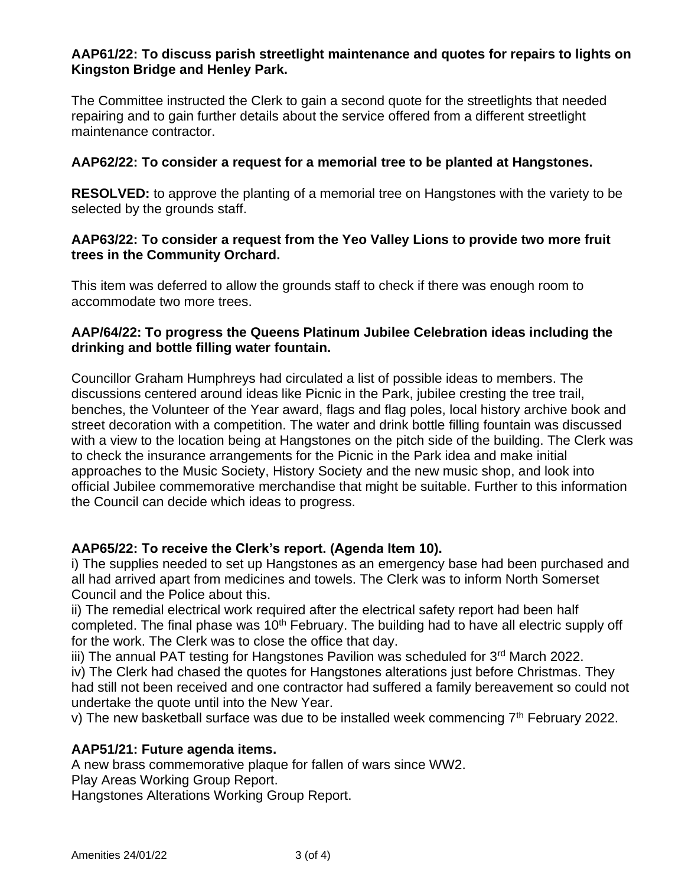### **AAP61/22: To discuss parish streetlight maintenance and quotes for repairs to lights on Kingston Bridge and Henley Park.**

The Committee instructed the Clerk to gain a second quote for the streetlights that needed repairing and to gain further details about the service offered from a different streetlight maintenance contractor.

### **AAP62/22: To consider a request for a memorial tree to be planted at Hangstones.**

**RESOLVED:** to approve the planting of a memorial tree on Hangstones with the variety to be selected by the grounds staff.

### **AAP63/22: To consider a request from the Yeo Valley Lions to provide two more fruit trees in the Community Orchard.**

This item was deferred to allow the grounds staff to check if there was enough room to accommodate two more trees.

### **AAP/64/22: To progress the Queens Platinum Jubilee Celebration ideas including the drinking and bottle filling water fountain.**

Councillor Graham Humphreys had circulated a list of possible ideas to members. The discussions centered around ideas like Picnic in the Park, jubilee cresting the tree trail, benches, the Volunteer of the Year award, flags and flag poles, local history archive book and street decoration with a competition. The water and drink bottle filling fountain was discussed with a view to the location being at Hangstones on the pitch side of the building. The Clerk was to check the insurance arrangements for the Picnic in the Park idea and make initial approaches to the Music Society, History Society and the new music shop, and look into official Jubilee commemorative merchandise that might be suitable. Further to this information the Council can decide which ideas to progress.

# **AAP65/22: To receive the Clerk's report. (Agenda Item 10).**

i) The supplies needed to set up Hangstones as an emergency base had been purchased and all had arrived apart from medicines and towels. The Clerk was to inform North Somerset Council and the Police about this.

ii) The remedial electrical work required after the electrical safety report had been half completed. The final phase was 10<sup>th</sup> February. The building had to have all electric supply off for the work. The Clerk was to close the office that day.

iii) The annual PAT testing for Hangstones Pavilion was scheduled for  $3<sup>rd</sup>$  March 2022.

iv) The Clerk had chased the quotes for Hangstones alterations just before Christmas. They had still not been received and one contractor had suffered a family bereavement so could not undertake the quote until into the New Year.

v) The new basketball surface was due to be installed week commencing 7<sup>th</sup> February 2022.

### **AAP51/21: Future agenda items.**

A new brass commemorative plaque for fallen of wars since WW2.

Play Areas Working Group Report.

Hangstones Alterations Working Group Report.